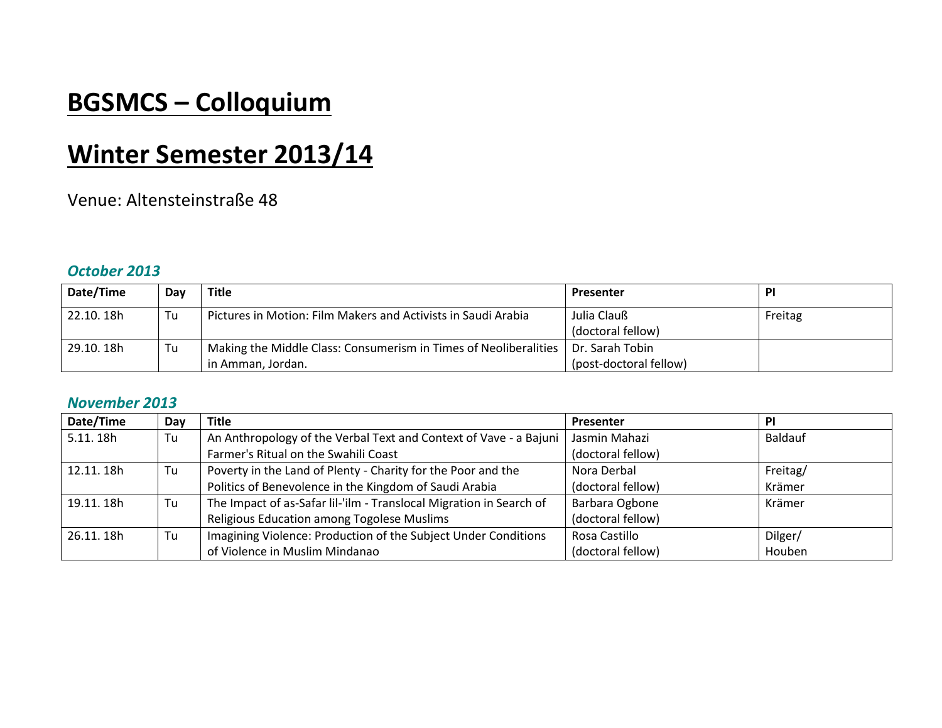# **BGSMCS – Colloquium**

# **Winter Semester 2013/14**

### Venue: Altensteinstraße 48

#### *October 2013*

| Date/Time  | Day | <b>Title</b>                                                                       | Presenter              | <b>PI</b> |
|------------|-----|------------------------------------------------------------------------------------|------------------------|-----------|
| 22.10. 18h | Tu  | Pictures in Motion: Film Makers and Activists in Saudi Arabia                      | Julia Clauß            | Freitag   |
|            |     |                                                                                    | (doctoral fellow)      |           |
| 29.10.18h  | Tu  | Making the Middle Class: Consumerism in Times of Neoliberalities   Dr. Sarah Tobin |                        |           |
|            |     | in Amman, Jordan.                                                                  | (post-doctoral fellow) |           |

#### *November 2013*

| Date/Time  | Day | <b>Title</b>                                                        | Presenter         | PI             |
|------------|-----|---------------------------------------------------------------------|-------------------|----------------|
| 5.11.18h   | Tu  | An Anthropology of the Verbal Text and Context of Vave - a Bajuni   | Jasmin Mahazi     | <b>Baldauf</b> |
|            |     | Farmer's Ritual on the Swahili Coast                                | (doctoral fellow) |                |
| 12.11.18h  | Tu  | Poverty in the Land of Plenty - Charity for the Poor and the        | Nora Derbal       | Freitag/       |
|            |     | Politics of Benevolence in the Kingdom of Saudi Arabia              | (doctoral fellow) | Krämer         |
| 19.11.18h  | Tu  | The Impact of as-Safar Iil-'ilm - Translocal Migration in Search of | Barbara Ogbone    | Krämer         |
|            |     | Religious Education among Togolese Muslims                          | (doctoral fellow) |                |
| 26.11, 18h | Tu  | Imagining Violence: Production of the Subject Under Conditions      | Rosa Castillo     | Dilger/        |
|            |     | of Violence in Muslim Mindanao                                      | (doctoral fellow) | Houben         |